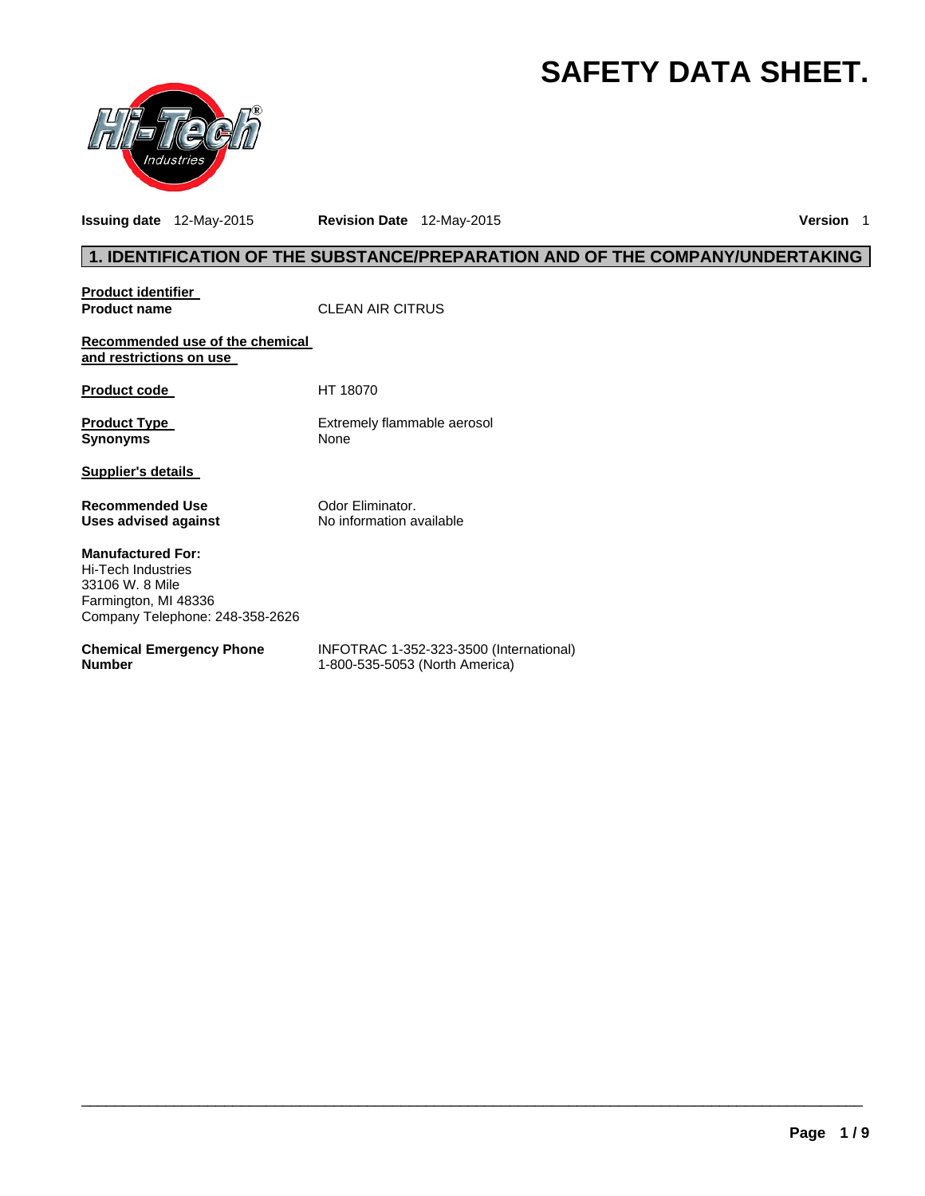# **SAFETY DATA SHEET.**



**Issuing date** 12-May-2015 **Revision Date** 12-May-2015 **Version** 1

# **1. IDENTIFICATION OF THE SUBSTANCE/PREPARATION AND OF THE COMPANY/UNDERTAKING**

| <b>Product identifier</b>                                                                                                    |                                                                           |
|------------------------------------------------------------------------------------------------------------------------------|---------------------------------------------------------------------------|
| <b>Product name</b>                                                                                                          | <b>CLEAN AIR CITRUS</b>                                                   |
| Recommended use of the chemical<br>and restrictions on use                                                                   |                                                                           |
| <b>Product code</b>                                                                                                          | HT 18070                                                                  |
| <b>Product Type</b><br><b>Synonyms</b>                                                                                       | Extremely flammable aerosol<br>None                                       |
| <b>Supplier's details</b>                                                                                                    |                                                                           |
| <b>Recommended Use</b><br>Uses advised against                                                                               | Odor Eliminator.<br>No information available                              |
| <b>Manufactured For:</b><br>Hi-Tech Industries<br>33106 W. 8 Mile<br>Farmington, MI 48336<br>Company Telephone: 248-358-2626 |                                                                           |
| <b>Chemical Emergency Phone</b><br><b>Number</b>                                                                             | INFOTRAC 1-352-323-3500 (International)<br>1-800-535-5053 (North America) |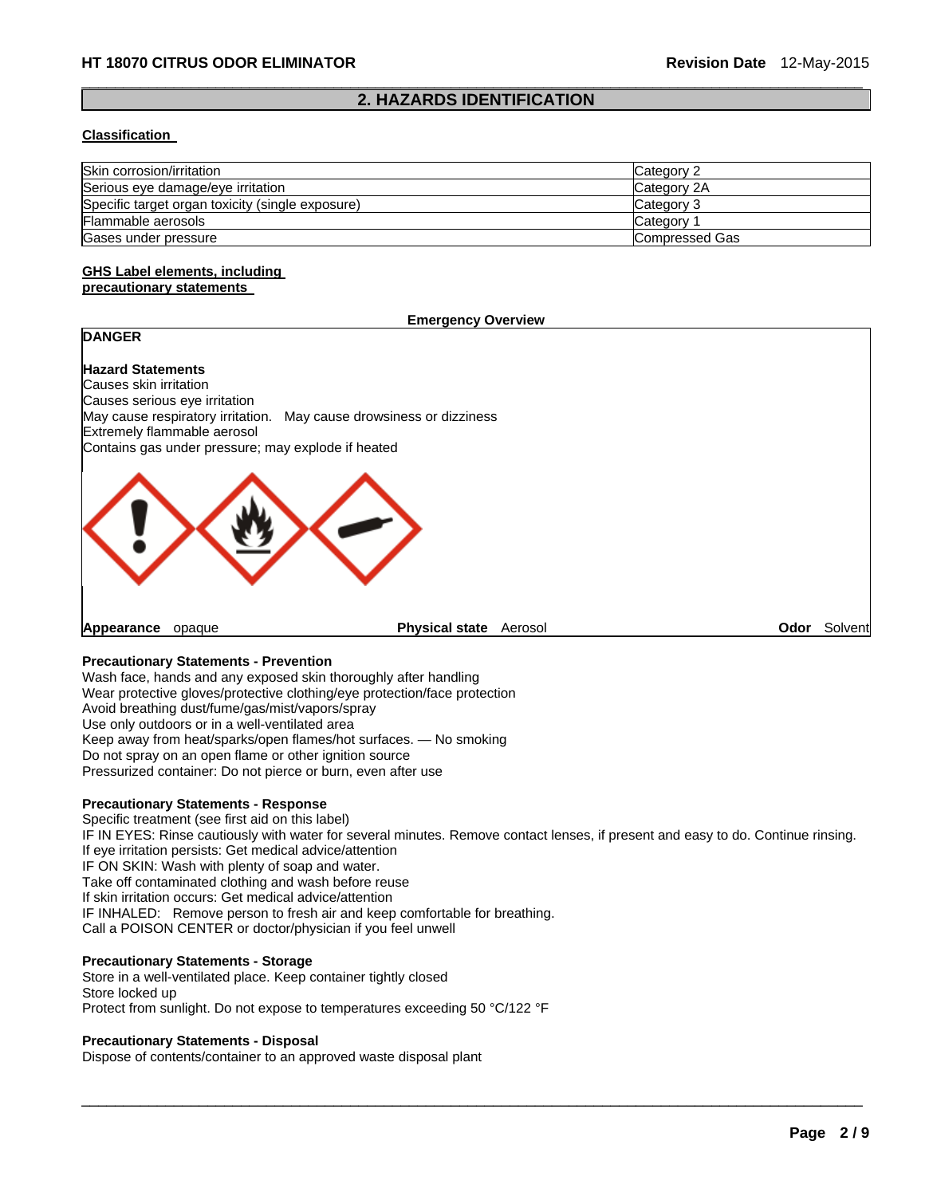#### $\Box$ **2. HAZARDS IDENTIFICATION**

#### **Classification**

| Skin corrosion/irritation                        | Category 2     |
|--------------------------------------------------|----------------|
| Serious eye damage/eye irritation                | Category 2A    |
| Specific target organ toxicity (single exposure) | Category 3     |
| Flammable aerosols                               | Category       |
| Gases under pressure                             | Compressed Gas |

#### **GHS Label elements, including precautionary statements**

#### **Emergency Overview**

# **Hazard Statements**

**DANGER** 

Causes skin irritation Causes serious eye irritation May cause respiratory irritation. May cause drowsiness or dizziness Extremely flammable aerosol Contains gas under pressure; may explode if heated



**Appearance** opaque **Physical state** Aerosol **Odor** Solvent

#### **Precautionary Statements - Prevention**

Wash face, hands and any exposed skin thoroughly after handling Wear protective gloves/protective clothing/eye protection/face protection Avoid breathing dust/fume/gas/mist/vapors/spray Use only outdoors or in a well-ventilated area Keep away from heat/sparks/open flames/hot surfaces. — No smoking Do not spray on an open flame or other ignition source Pressurized container: Do not pierce or burn, even after use

#### **Precautionary Statements - Response**

Specific treatment (see first aid on this label) IF IN EYES: Rinse cautiously with water for several minutes. Remove contact lenses, if present and easy to do. Continue rinsing. If eye irritation persists: Get medical advice/attention IF ON SKIN: Wash with plenty of soap and water. Take off contaminated clothing and wash before reuse If skin irritation occurs: Get medical advice/attention IF INHALED: Remove person to fresh air and keep comfortable for breathing. Call a POISON CENTER or doctor/physician if you feel unwell

 $\Box$ 

#### **Precautionary Statements - Storage**

Store in a well-ventilated place. Keep container tightly closed Store locked up Protect from sunlight. Do not expose to temperatures exceeding 50 °C/122 °F

#### **Precautionary Statements - Disposal**

Dispose of contents/container to an approved waste disposal plant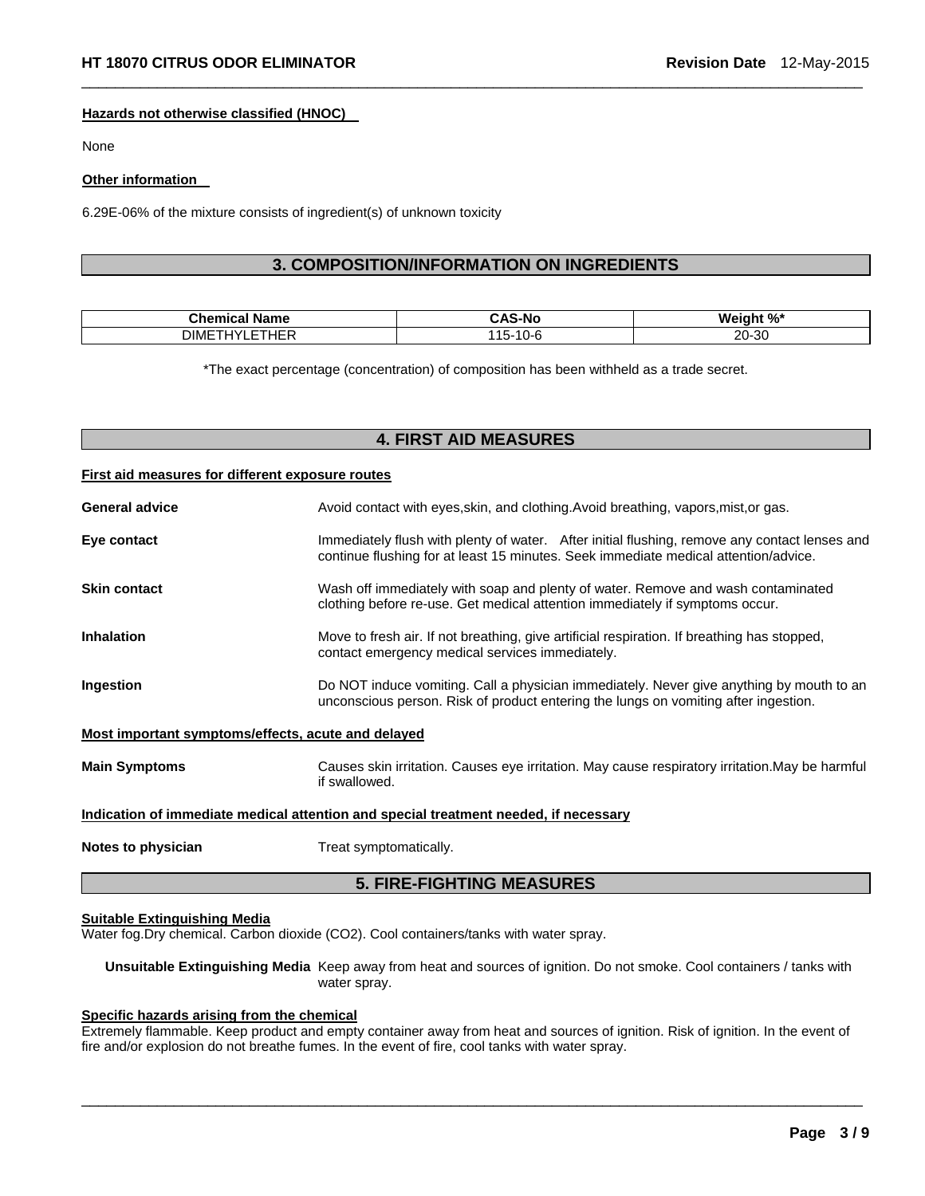#### **Hazards not otherwise classified (HNOC)**

None

#### **Other information**

6.29E-06% of the mixture consists of ingredient(s) of unknown toxicity

# **3. COMPOSITION/INFORMATION ON INGREDIENTS**

 $\Box$ 

| ---<br>- --<br>anne | .W  | w            |
|---------------------|-----|--------------|
| $\cdot$ $ -$        | v   | nr.          |
| וג∧ונ               | . . | ററ           |
|                     |     | <b>20-30</b> |

\*The exact percentage (concentration) of composition has been withheld as a trade secret.

# **4. FIRST AID MEASURES**

#### **First aid measures for different exposure routes**

| <b>General advice</b>                                                                | Avoid contact with eyes, skin, and clothing. Avoid breathing, vapors, mist, or gas.                                                                                                  |  |
|--------------------------------------------------------------------------------------|--------------------------------------------------------------------------------------------------------------------------------------------------------------------------------------|--|
| Eye contact                                                                          | Immediately flush with plenty of water. After initial flushing, remove any contact lenses and<br>continue flushing for at least 15 minutes. Seek immediate medical attention/advice. |  |
| <b>Skin contact</b>                                                                  | Wash off immediately with soap and plenty of water. Remove and wash contaminated<br>clothing before re-use. Get medical attention immediately if symptoms occur.                     |  |
| <b>Inhalation</b>                                                                    | Move to fresh air. If not breathing, give artificial respiration. If breathing has stopped,<br>contact emergency medical services immediately.                                       |  |
| Ingestion                                                                            | Do NOT induce vomiting. Call a physician immediately. Never give anything by mouth to an<br>unconscious person. Risk of product entering the lungs on vomiting after ingestion.      |  |
| <u>Most important symptoms/effects, acute and delayed</u>                            |                                                                                                                                                                                      |  |
| <b>Main Symptoms</b>                                                                 | Causes skin irritation. Causes eye irritation. May cause respiratory irritation. May be harmful<br>if swallowed.                                                                     |  |
| Indication of immediate medical attention and special treatment needed, if necessary |                                                                                                                                                                                      |  |
| Notes to physician                                                                   | Treat symptomatically.                                                                                                                                                               |  |
| <b>5. FIRE-FIGHTING MEASURES</b>                                                     |                                                                                                                                                                                      |  |

#### **Suitable Extinguishing Media**

Water fog.Dry chemical. Carbon dioxide (CO2). Cool containers/tanks with water spray.

**Unsuitable Extinguishing Media** Keep away from heat and sources of ignition. Do not smoke. Cool containers / tanks with water spray.

# **Specific hazards arising from the chemical**

Extremely flammable. Keep product and empty container away from heat and sources of ignition. Risk of ignition. In the event of fire and/or explosion do not breathe fumes. In the event of fire, cool tanks with water spray.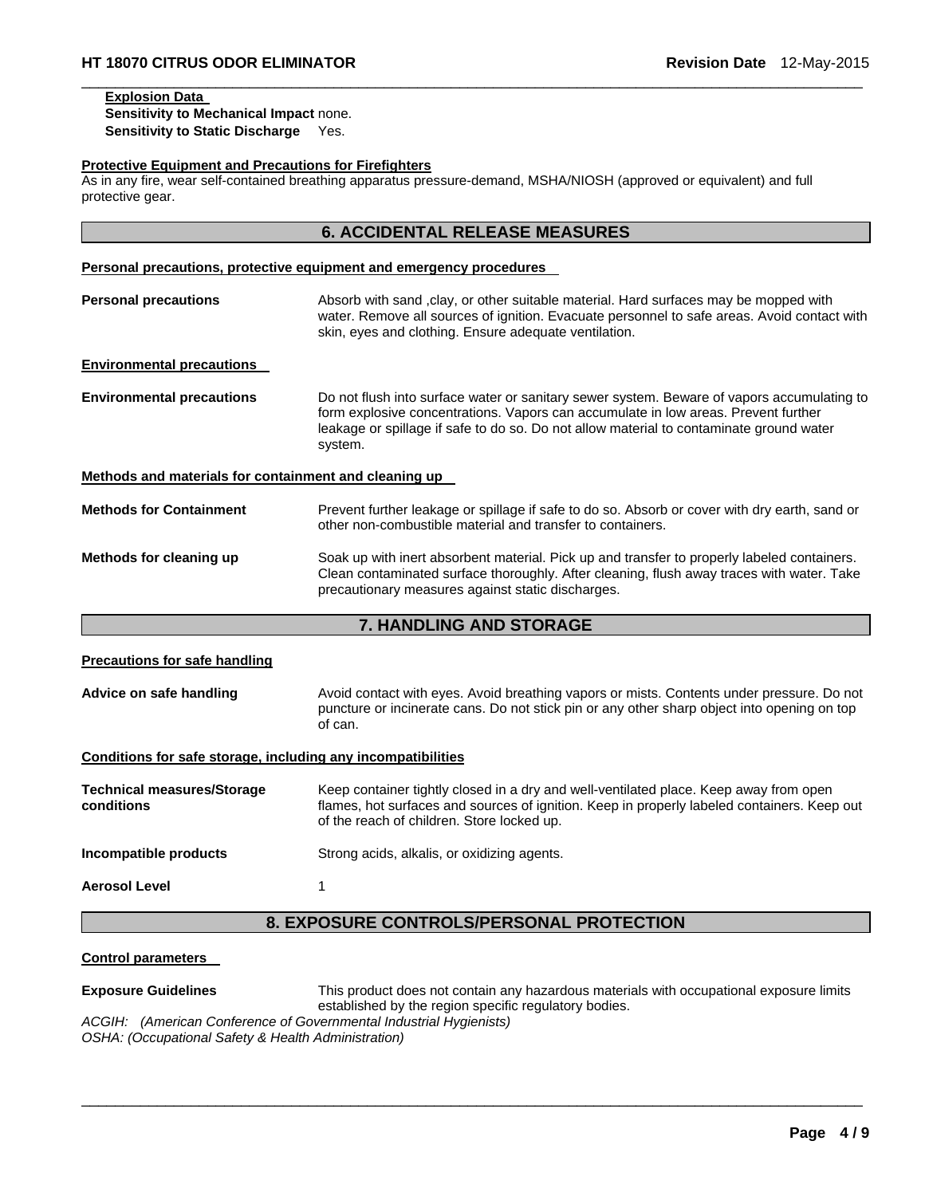# **Explosion Data**

**Sensitivity to Mechanical Impact** none. **Sensitivity to Static Discharge** Yes.

#### **Protective Equipment and Precautions for Firefighters**

As in any fire, wear self-contained breathing apparatus pressure-demand, MSHA/NIOSH (approved or equivalent) and full protective gear.

### **6. ACCIDENTAL RELEASE MEASURES**

 $\Box$ 

# **Personal precautions, protective equipment and emergency procedures Personal precautions Absorb with sand ,clay, or other suitable material. Hard surfaces may be mopped with** water. Remove all sources of ignition. Evacuate personnel to safe areas. Avoid contact with skin, eyes and clothing. Ensure adequate ventilation. **Environmental precautions Environmental precautions** Do not flush into surface water or sanitary sewer system. Beware of vapors accumulating to form explosive concentrations. Vapors can accumulate in low areas. Prevent further leakage or spillage if safe to do so. Do not allow material to contaminate ground water system. **Methods and materials for containment and cleaning up Methods for Containment** Prevent further leakage or spillage if safe to do so. Absorb or cover with dry earth, sand or other non-combustible material and transfer to containers. **Methods for cleaning up** Soak up with inert absorbent material. Pick up and transfer to properly labeled containers. Clean contaminated surface thoroughly. After cleaning, flush away traces with water. Take precautionary measures against static discharges.

#### **7. HANDLING AND STORAGE**

| <b>Precautions for safe handling</b>                         |                                                                                                                                                                                                                                    |  |
|--------------------------------------------------------------|------------------------------------------------------------------------------------------------------------------------------------------------------------------------------------------------------------------------------------|--|
| Advice on safe handling                                      | Avoid contact with eyes. Avoid breathing vapors or mists. Contents under pressure. Do not<br>puncture or incinerate cans. Do not stick pin or any other sharp object into opening on top<br>of can.                                |  |
| Conditions for safe storage, including any incompatibilities |                                                                                                                                                                                                                                    |  |
| <b>Technical measures/Storage</b><br>conditions              | Keep container tightly closed in a dry and well-ventilated place. Keep away from open<br>flames, hot surfaces and sources of ignition. Keep in properly labeled containers. Keep out<br>of the reach of children. Store locked up. |  |
| Incompatible products                                        | Strong acids, alkalis, or oxidizing agents.                                                                                                                                                                                        |  |
| <b>Aerosol Level</b>                                         |                                                                                                                                                                                                                                    |  |
| <b>8. EXPOSURE CONTROLS/PERSONAL PROTECTION</b>              |                                                                                                                                                                                                                                    |  |

#### **Control parameters**

**Exposure Guidelines** This product does not contain any hazardous materials with occupational exposure limits established by the region specific regulatory bodies.

 $\Box$ 

*ACGIH: (American Conference of Governmental Industrial Hygienists) OSHA: (Occupational Safety & Health Administration)*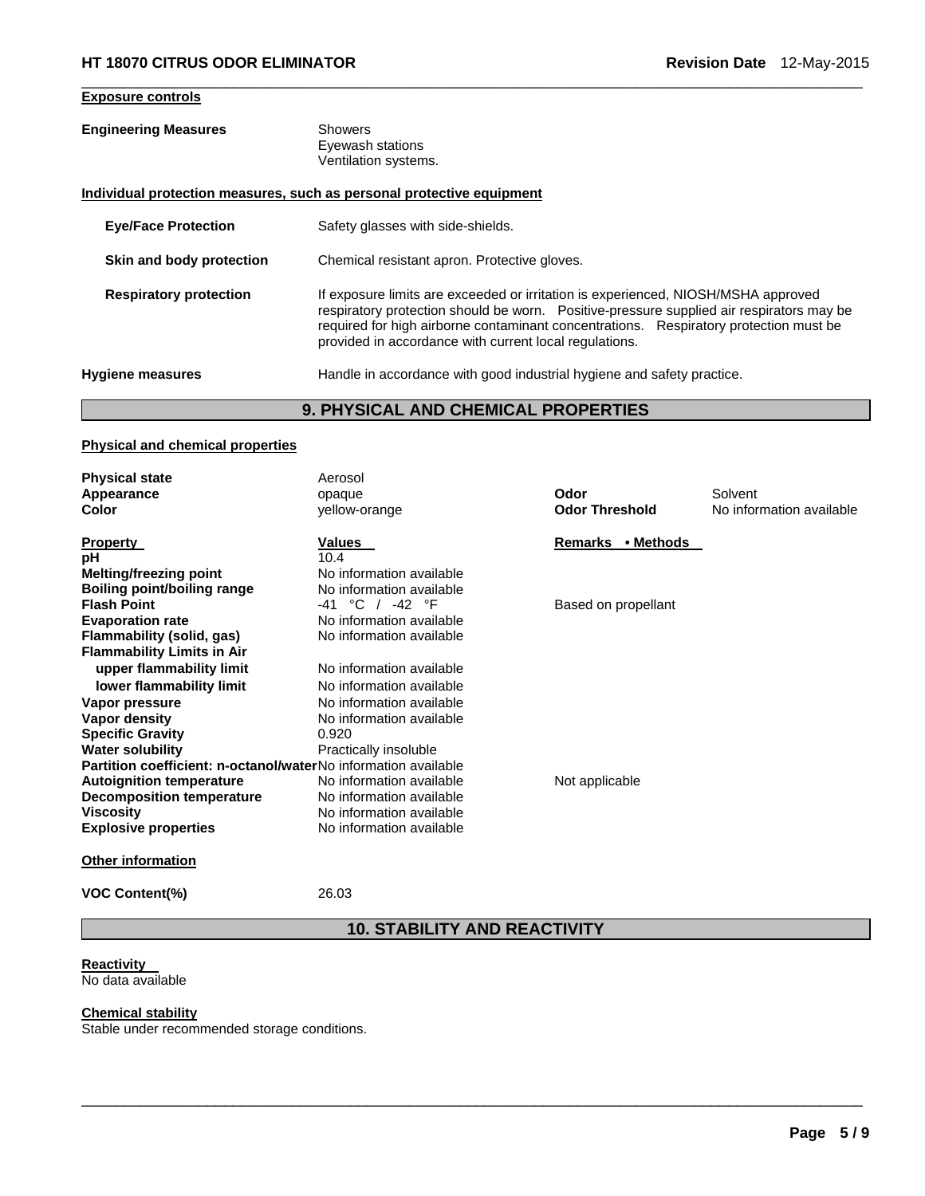#### **Exposure controls**

#### **Engineering Measures** Showers Eyewash stations Ventilation systems.

#### **Individual protection measures, such as personal protective equipment**

| <b>Eye/Face Protection</b>    | Safety glasses with side-shields.                                                                                                                                                                                                                                                                                                 |
|-------------------------------|-----------------------------------------------------------------------------------------------------------------------------------------------------------------------------------------------------------------------------------------------------------------------------------------------------------------------------------|
| Skin and body protection      | Chemical resistant apron. Protective gloves.                                                                                                                                                                                                                                                                                      |
| <b>Respiratory protection</b> | If exposure limits are exceeded or irritation is experienced, NIOSH/MSHA approved<br>respiratory protection should be worn.  Positive-pressure supplied air respirators may be<br>required for high airborne contaminant concentrations. Respiratory protection must be<br>provided in accordance with current local regulations. |
| Hygiene measures              | Handle in accordance with good industrial hygiene and safety practice.                                                                                                                                                                                                                                                            |

 $\Box$ 

# **9. PHYSICAL AND CHEMICAL PROPERTIES**

#### **Physical and chemical properties**

| <b>Physical state</b>                                                 | Aerosol                  |                       |                          |
|-----------------------------------------------------------------------|--------------------------|-----------------------|--------------------------|
| Appearance                                                            | opaque                   | Odor                  | Solvent                  |
| Color                                                                 | yellow-orange            | <b>Odor Threshold</b> | No information available |
| <b>Property</b>                                                       | Values                   | Remarks • Methods     |                          |
| рH                                                                    | 10.4                     |                       |                          |
| <b>Melting/freezing point</b>                                         | No information available |                       |                          |
| Boiling point/boiling range                                           | No information available |                       |                          |
| <b>Flash Point</b>                                                    | -41 °C / -42 °F          | Based on propellant   |                          |
| <b>Evaporation rate</b>                                               | No information available |                       |                          |
| Flammability (solid, gas)                                             | No information available |                       |                          |
| <b>Flammability Limits in Air</b>                                     |                          |                       |                          |
| upper flammability limit                                              | No information available |                       |                          |
| lower flammability limit                                              | No information available |                       |                          |
| Vapor pressure                                                        | No information available |                       |                          |
| Vapor density                                                         | No information available |                       |                          |
| <b>Specific Gravity</b>                                               | 0.920                    |                       |                          |
| <b>Water solubility</b>                                               | Practically insoluble    |                       |                          |
| <b>Partition coefficient: n-octanol/waterNo information available</b> |                          |                       |                          |
| <b>Autoignition temperature</b>                                       | No information available | Not applicable        |                          |
| <b>Decomposition temperature</b>                                      | No information available |                       |                          |
| <b>Viscosity</b>                                                      | No information available |                       |                          |
| <b>Explosive properties</b>                                           | No information available |                       |                          |
| <b>Other information</b>                                              |                          |                       |                          |
| <b>VOC Content(%)</b>                                                 | 26.03                    |                       |                          |

**10. STABILITY AND REACTIVITY** 

 $\Box$ 

# **Reactivity**

**No data available** 

# **Chemical stability**

Stable under recommended storage conditions.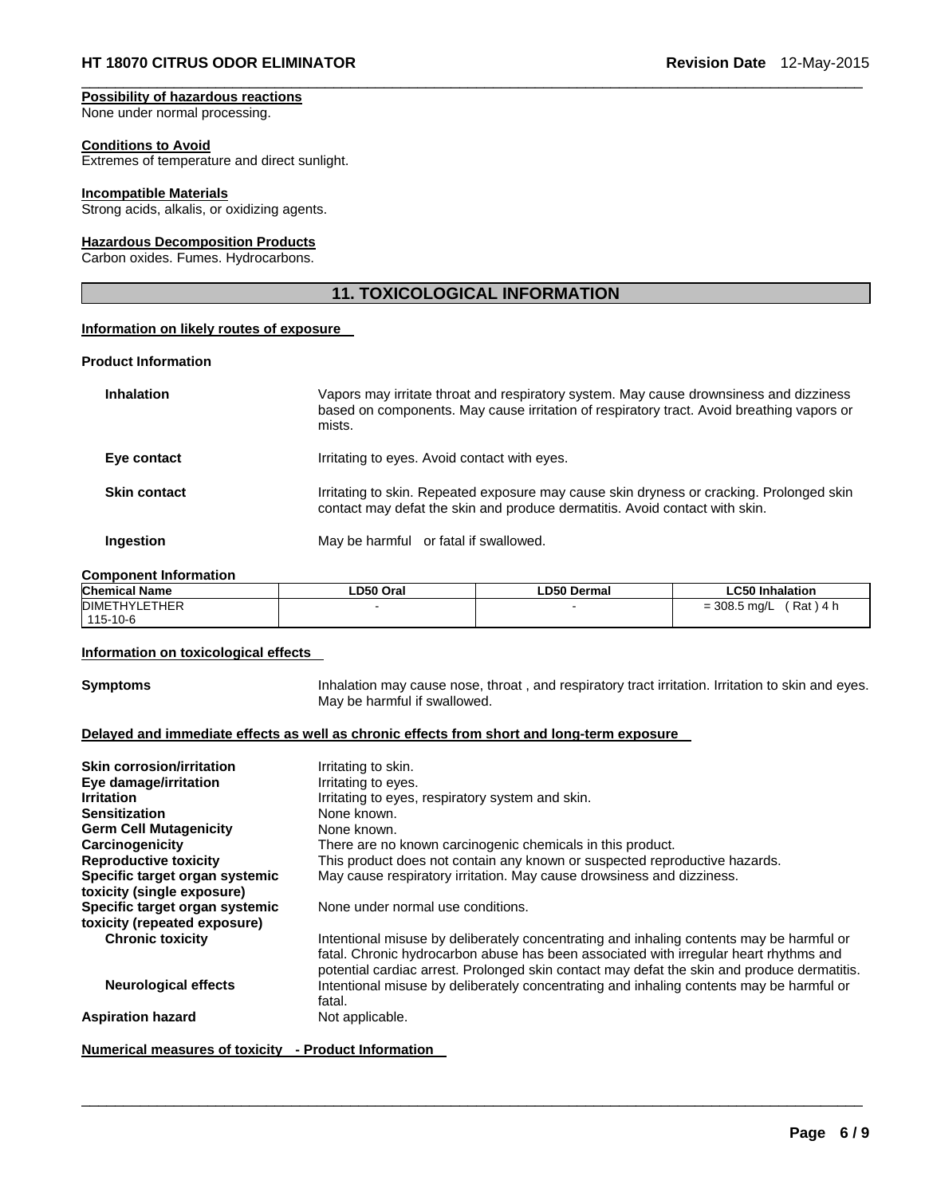#### **Possibility of hazardous reactions**  None under normal processing.

# **Conditions to Avoid**

Extremes of temperature and direct sunlight.

# **Incompatible Materials**

Strong acids, alkalis, or oxidizing agents.

#### **Hazardous Decomposition Products**

Carbon oxides. Fumes. Hydrocarbons.

# **11. TOXICOLOGICAL INFORMATION**

 $\Box$ 

#### **Information on likely routes of exposure**

#### **Product Information**

| <b>Inhalation</b>   | Vapors may irritate throat and respiratory system. May cause drownsiness and dizziness<br>based on components. May cause irritation of respiratory tract. Avoid breathing vapors or<br>mists. |
|---------------------|-----------------------------------------------------------------------------------------------------------------------------------------------------------------------------------------------|
| Eye contact         | Irritating to eyes. Avoid contact with eyes.                                                                                                                                                  |
| <b>Skin contact</b> | Irritating to skin. Repeated exposure may cause skin dryness or cracking. Prolonged skin<br>contact may defat the skin and produce dermatitis. Avoid contact with skin.                       |
| Ingestion           | May be harmful or fatal if swallowed.                                                                                                                                                         |

#### **Component Information**

| <b>Chemical Name</b> | LD50 Oral | ∟D50 Dermal | <b>LC50 Inhalation</b>         |
|----------------------|-----------|-------------|--------------------------------|
| <b>DIMETHYLETHER</b> |           |             | Rat<br>$= 308.5$ mg/L<br>\ 4 h |
| 115-10-6             |           |             |                                |

#### **Information on toxicological effects**

**Symptoms Inhalation may cause nose, throat**, and respiratory tract irritation. Irritation to skin and eyes. May be harmful if swallowed.

#### **Delayed and immediate effects as well as chronic effects from short and long-term exposure**

| <b>Skin corrosion/irritation</b> | Irritating to skin.                                                                                                                                                                                                                                                              |
|----------------------------------|----------------------------------------------------------------------------------------------------------------------------------------------------------------------------------------------------------------------------------------------------------------------------------|
| Eye damage/irritation            | Irritating to eyes.                                                                                                                                                                                                                                                              |
| <b>Irritation</b>                | Irritating to eyes, respiratory system and skin.                                                                                                                                                                                                                                 |
| <b>Sensitization</b>             | None known.                                                                                                                                                                                                                                                                      |
| <b>Germ Cell Mutagenicity</b>    | None known.                                                                                                                                                                                                                                                                      |
| Carcinogenicity                  | There are no known carcinogenic chemicals in this product.                                                                                                                                                                                                                       |
| <b>Reproductive toxicity</b>     | This product does not contain any known or suspected reproductive hazards.                                                                                                                                                                                                       |
| Specific target organ systemic   | May cause respiratory irritation. May cause drowsiness and dizziness.                                                                                                                                                                                                            |
| toxicity (single exposure)       |                                                                                                                                                                                                                                                                                  |
| Specific target organ systemic   | None under normal use conditions.                                                                                                                                                                                                                                                |
| toxicity (repeated exposure)     |                                                                                                                                                                                                                                                                                  |
| <b>Chronic toxicity</b>          | Intentional misuse by deliberately concentrating and inhaling contents may be harmful or<br>fatal. Chronic hydrocarbon abuse has been associated with irregular heart rhythms and<br>potential cardiac arrest. Prolonged skin contact may defat the skin and produce dermatitis. |
| <b>Neurological effects</b>      | Intentional misuse by deliberately concentrating and inhaling contents may be harmful or<br>fatal.                                                                                                                                                                               |
| <b>Aspiration hazard</b>         | Not applicable.                                                                                                                                                                                                                                                                  |

 $\Box$ 

**Numerical measures of toxicity - Product Information**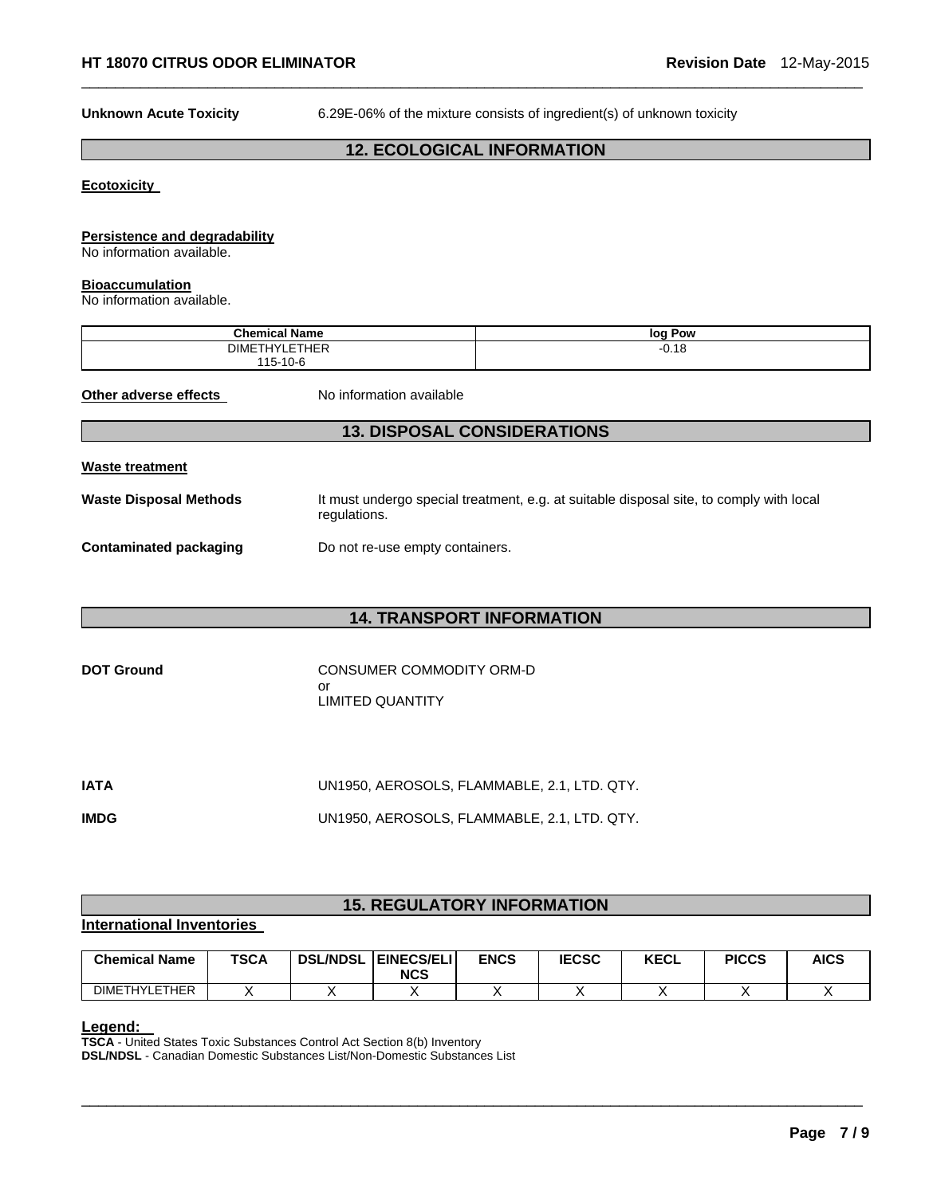**Unknown Acute Toxicity** 6.29E-06% of the mixture consists of ingredient(s) of unknown toxicity

# **12. ECOLOGICAL INFORMATION**

 $\Box$ 

#### **Ecotoxicity**

#### **Persistence and degradability**

No information available.

#### **Bioaccumulation**

No information available.

| <b>Chemical Name</b>               | loc<br>Pow |
|------------------------------------|------------|
| 0.05<br><b>DIMET</b><br>IYLE I HEF | 0.18<br>-  |
| 115-10-6                           |            |

**Other adverse effects** No information available

# **13. DISPOSAL CONSIDERATIONS**

#### **Waste treatment**

Waste Disposal Methods **It must undergo special treatment, e.g. at suitable disposal site, to comply with local** regulations.

**Contaminated packaging <br>Do not re-use empty containers.** 

## **14. TRANSPORT INFORMATION**

| <b>DOT Ground</b> | CONSUMER COMMODITY ORM-D |
|-------------------|--------------------------|
|                   | Ωľ                       |
|                   | LIMITED QUANTITY         |

| IATA        | UN1950, AEROSOLS, FLAMMABLE, 2.1, LTD. QTY. |
|-------------|---------------------------------------------|
| <b>IMDG</b> | UN1950, AEROSOLS, FLAMMABLE, 2.1, LTD. QTY. |

# **15. REGULATORY INFORMATION**

#### **International Inventories**

| <b>Chemical Name</b> | <b>TSCA</b> | <b>DSL/NDSL</b> | <b>EINECS/ELI</b><br><b>NCS</b> | <b>ENCS</b> | <b>IECSC</b> | <b>KECL</b> | <b>PICCS</b> | <b>AICS</b> |
|----------------------|-------------|-----------------|---------------------------------|-------------|--------------|-------------|--------------|-------------|
| <b>DIMETHYLETHER</b> |             |                 |                                 |             |              |             |              |             |

 $\Box$ 

**Legend: TSCA** - United States Toxic Substances Control Act Section 8(b) Inventory **DSL/NDSL** - Canadian Domestic Substances List/Non-Domestic Substances List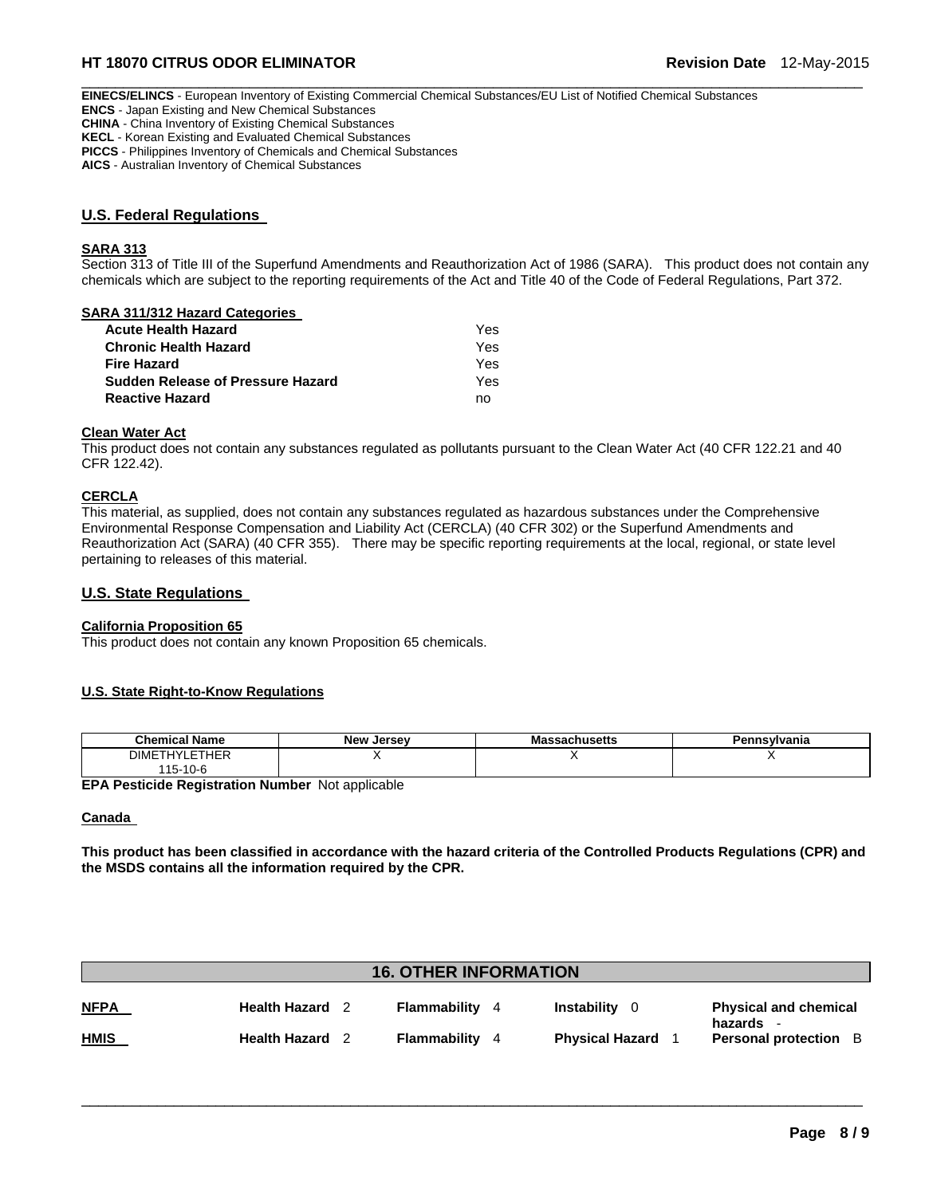# **HT 18070 CITRUS ODOR ELIMINATOR Revision Date** 12-May-2015

 $\Box$ **EINECS/ELINCS** - European Inventory of Existing Commercial Chemical Substances/EU List of Notified Chemical Substances **ENCS** - Japan Existing and New Chemical Substances **CHINA** - China Inventory of Existing Chemical Substances **KECL** - Korean Existing and Evaluated Chemical Substances

**PICCS** - Philippines Inventory of Chemicals and Chemical Substances

**AICS** - Australian Inventory of Chemical Substances

#### **U.S. Federal Regulations**

#### **SARA 313**

Section 313 of Title III of the Superfund Amendments and Reauthorization Act of 1986 (SARA). This product does not contain any chemicals which are subject to the reporting requirements of the Act and Title 40 of the Code of Federal Regulations, Part 372.

#### **SARA 311/312 Hazard Categories**

| Acute Health Hazard               | Yes |
|-----------------------------------|-----|
| Chronic Health Hazard             | Yes |
| Fire Hazard                       | Yes |
| Sudden Release of Pressure Hazard | Yes |
| Reactive Hazard                   | no  |

#### **Clean Water Act**

This product does not contain any substances regulated as pollutants pursuant to the Clean Water Act (40 CFR 122.21 and 40 CFR 122.42).

#### **CERCLA**

This material, as supplied, does not contain any substances regulated as hazardous substances under the Comprehensive Environmental Response Compensation and Liability Act (CERCLA) (40 CFR 302) or the Superfund Amendments and Reauthorization Act (SARA) (40 CFR 355). There may be specific reporting requirements at the local, regional, or state level pertaining to releases of this material.

#### **U.S. State Regulations**

#### **California Proposition 65**

This product does not contain any known Proposition 65 chemicals.

#### **U.S. State Right-to-Know Regulations**

| .<br>Chemical<br>Name | $ -$<br><b>New Jersey</b> | `sachusetts<br>mass | Pennsylvania |
|-----------------------|---------------------------|---------------------|--------------|
| <b>DIMETHYLETHER</b>  |                           |                     |              |
| 15-10-6               |                           |                     |              |

**EPA Pesticide Registration Number** Not applicable

#### **Canada**

**This product has been classified in accordance with the hazard criteria of the Controlled Products Regulations (CPR) and the MSDS contains all the information required by the CPR.** 

| <b>16. OTHER INFORMATION</b> |                      |  |              |    |                        |                                         |
|------------------------------|----------------------|--|--------------|----|------------------------|-----------------------------------------|
| <u>NFPA</u>                  | Health Hazard        |  | Flammability | 4  | Instability<br>- 0     | <b>Physical and chemical</b>            |
| <u>HMIS</u>                  | <b>Health Hazard</b> |  | Flammability | -4 | <b>Physical Hazard</b> | hazards<br><b>Personal protection</b> B |